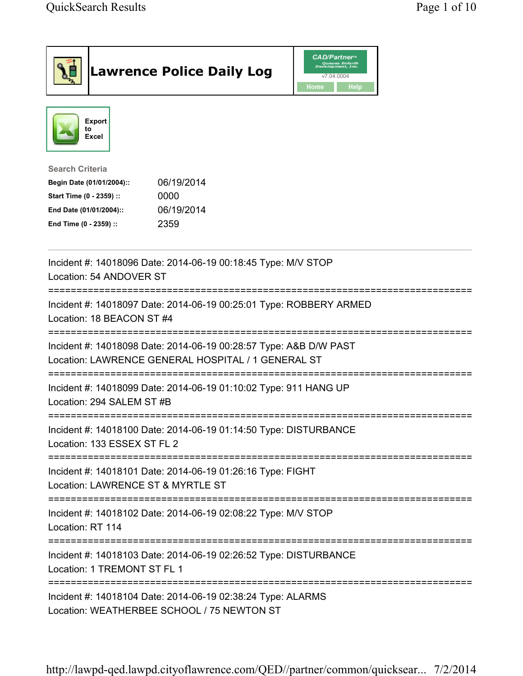| <b>Lawrence Police Daily Log</b>                                                                                                                                                 | <b>CAD/Partner</b> "<br>Queues Enforth<br>Development, Inc.<br>v7.04.0004<br>Home<br><b>Help</b> |  |
|----------------------------------------------------------------------------------------------------------------------------------------------------------------------------------|--------------------------------------------------------------------------------------------------|--|
| <b>Export</b><br>to<br>Excel                                                                                                                                                     |                                                                                                  |  |
| <b>Search Criteria</b><br>06/19/2014<br>Begin Date (01/01/2004)::<br>Start Time (0 - 2359) ::<br>0000<br>06/19/2014<br>End Date (01/01/2004)::<br>2359<br>End Time (0 - 2359) :: |                                                                                                  |  |
| Incident #: 14018096 Date: 2014-06-19 00:18:45 Type: M/V STOP<br>Location: 54 ANDOVER ST                                                                                         |                                                                                                  |  |
| ;====================================<br>Incident #: 14018097 Date: 2014-06-19 00:25:01 Type: ROBBERY ARMED<br>Location: 18 BEACON ST #4                                         |                                                                                                  |  |
| Incident #: 14018098 Date: 2014-06-19 00:28:57 Type: A&B D/W PAST<br>Location: LAWRENCE GENERAL HOSPITAL / 1 GENERAL ST                                                          |                                                                                                  |  |
| Incident #: 14018099 Date: 2014-06-19 01:10:02 Type: 911 HANG UP<br>Location: 294 SALEM ST #B                                                                                    |                                                                                                  |  |
| Incident #: 14018100 Date: 2014-06-19 01:14:50 Type: DISTURBANCE<br>Location: 133 ESSEX ST FL 2                                                                                  |                                                                                                  |  |
| Incident #: 14018101 Date: 2014-06-19 01:26:16 Type: FIGHT<br>Location: LAWRENCE ST & MYRTLE ST                                                                                  |                                                                                                  |  |
| Incident #: 14018102 Date: 2014-06-19 02:08:22 Type: M/V STOP<br>Location: RT 114                                                                                                |                                                                                                  |  |
| Incident #: 14018103 Date: 2014-06-19 02:26:52 Type: DISTURBANCE<br>Location: 1 TREMONT ST FL 1                                                                                  |                                                                                                  |  |
| =========================<br>Incident #: 14018104 Date: 2014-06-19 02:38:24 Type: ALARMS<br>Location: WEATHERBEE SCHOOL / 75 NEWTON ST                                           |                                                                                                  |  |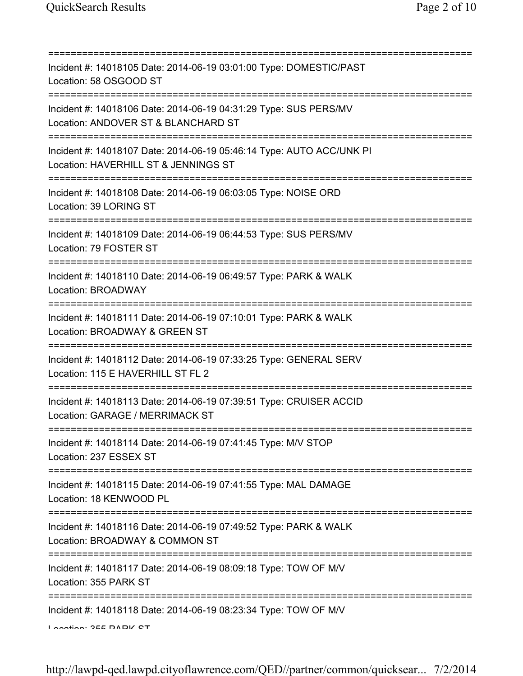| Incident #: 14018105 Date: 2014-06-19 03:01:00 Type: DOMESTIC/PAST<br>Location: 58 OSGOOD ST                                                     |
|--------------------------------------------------------------------------------------------------------------------------------------------------|
| Incident #: 14018106 Date: 2014-06-19 04:31:29 Type: SUS PERS/MV<br>Location: ANDOVER ST & BLANCHARD ST                                          |
| Incident #: 14018107 Date: 2014-06-19 05:46:14 Type: AUTO ACC/UNK PI<br>Location: HAVERHILL ST & JENNINGS ST<br>================================ |
| Incident #: 14018108 Date: 2014-06-19 06:03:05 Type: NOISE ORD<br>Location: 39 LORING ST                                                         |
| Incident #: 14018109 Date: 2014-06-19 06:44:53 Type: SUS PERS/MV<br>Location: 79 FOSTER ST                                                       |
| Incident #: 14018110 Date: 2014-06-19 06:49:57 Type: PARK & WALK<br>Location: BROADWAY                                                           |
| Incident #: 14018111 Date: 2014-06-19 07:10:01 Type: PARK & WALK<br>Location: BROADWAY & GREEN ST                                                |
| Incident #: 14018112 Date: 2014-06-19 07:33:25 Type: GENERAL SERV<br>Location: 115 E HAVERHILL ST FL 2                                           |
| Incident #: 14018113 Date: 2014-06-19 07:39:51 Type: CRUISER ACCID<br>Location: GARAGE / MERRIMACK ST                                            |
| Incident #: 14018114 Date: 2014-06-19 07:41:45 Type: M/V STOP<br>Location: 237 ESSEX ST                                                          |
| Incident #: 14018115 Date: 2014-06-19 07:41:55 Type: MAL DAMAGE<br>Location: 18 KENWOOD PL                                                       |
| .-----------------------------------<br>Incident #: 14018116 Date: 2014-06-19 07:49:52 Type: PARK & WALK<br>Location: BROADWAY & COMMON ST       |
| Incident #: 14018117 Date: 2014-06-19 08:09:18 Type: TOW OF M/V<br>Location: 355 PARK ST                                                         |
| Incident #: 14018118 Date: 2014-06-19 08:23:34 Type: TOW OF M/V<br>Lootion: 255 DADIZ CT                                                         |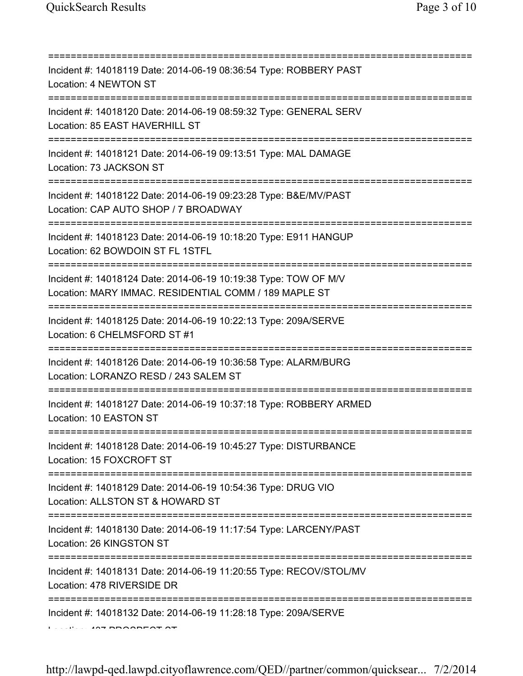| Incident #: 14018119 Date: 2014-06-19 08:36:54 Type: ROBBERY PAST<br>Location: 4 NEWTON ST                               |
|--------------------------------------------------------------------------------------------------------------------------|
| Incident #: 14018120 Date: 2014-06-19 08:59:32 Type: GENERAL SERV<br>Location: 85 EAST HAVERHILL ST                      |
| Incident #: 14018121 Date: 2014-06-19 09:13:51 Type: MAL DAMAGE<br>Location: 73 JACKSON ST                               |
| Incident #: 14018122 Date: 2014-06-19 09:23:28 Type: B&E/MV/PAST<br>Location: CAP AUTO SHOP / 7 BROADWAY                 |
| Incident #: 14018123 Date: 2014-06-19 10:18:20 Type: E911 HANGUP<br>Location: 62 BOWDOIN ST FL 1STFL                     |
| Incident #: 14018124 Date: 2014-06-19 10:19:38 Type: TOW OF M/V<br>Location: MARY IMMAC. RESIDENTIAL COMM / 189 MAPLE ST |
| Incident #: 14018125 Date: 2014-06-19 10:22:13 Type: 209A/SERVE<br>Location: 6 CHELMSFORD ST #1                          |
| Incident #: 14018126 Date: 2014-06-19 10:36:58 Type: ALARM/BURG<br>Location: LORANZO RESD / 243 SALEM ST                 |
| Incident #: 14018127 Date: 2014-06-19 10:37:18 Type: ROBBERY ARMED<br>Location: 10 EASTON ST                             |
| Incident #: 14018128 Date: 2014-06-19 10:45:27 Type: DISTURBANCE<br>Location: 15 FOXCROFT ST                             |
| Incident #: 14018129 Date: 2014-06-19 10:54:36 Type: DRUG VIO<br>Location: ALLSTON ST & HOWARD ST                        |
| Incident #: 14018130 Date: 2014-06-19 11:17:54 Type: LARCENY/PAST<br>Location: 26 KINGSTON ST                            |
| Incident #: 14018131 Date: 2014-06-19 11:20:55 Type: RECOV/STOL/MV<br>Location: 478 RIVERSIDE DR                         |
| Incident #: 14018132 Date: 2014-06-19 11:28:18 Type: 209A/SERVE                                                          |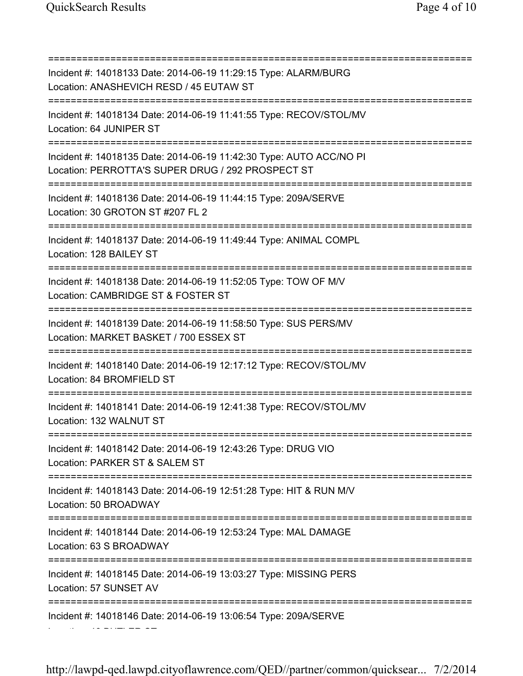Location: 46 BUTLER ST

=========================================================================== Incident #: 14018133 Date: 2014-06-19 11:29:15 Type: ALARM/BURG Location: ANASHEVICH RESD / 45 EUTAW ST =========================================================================== Incident #: 14018134 Date: 2014-06-19 11:41:55 Type: RECOV/STOL/MV Location: 64 JUNIPER ST =========================================================================== Incident #: 14018135 Date: 2014-06-19 11:42:30 Type: AUTO ACC/NO PI Location: PERROTTA'S SUPER DRUG / 292 PROSPECT ST =========================================================================== Incident #: 14018136 Date: 2014-06-19 11:44:15 Type: 209A/SERVE Location: 30 GROTON ST #207 FL 2 =========================================================================== Incident #: 14018137 Date: 2014-06-19 11:49:44 Type: ANIMAL COMPL Location: 128 BAILEY ST =========================================================================== Incident #: 14018138 Date: 2014-06-19 11:52:05 Type: TOW OF M/V Location: CAMBRIDGE ST & FOSTER ST =========================================================================== Incident #: 14018139 Date: 2014-06-19 11:58:50 Type: SUS PERS/MV Location: MARKET BASKET / 700 ESSEX ST =========================================================================== Incident #: 14018140 Date: 2014-06-19 12:17:12 Type: RECOV/STOL/MV Location: 84 BROMFIELD ST =========================================================================== Incident #: 14018141 Date: 2014-06-19 12:41:38 Type: RECOV/STOL/MV Location: 132 WALNUT ST =========================================================================== Incident #: 14018142 Date: 2014-06-19 12:43:26 Type: DRUG VIO Location: PARKER ST & SALEM ST =========================================================================== Incident #: 14018143 Date: 2014-06-19 12:51:28 Type: HIT & RUN M/V Location: 50 BROADWAY =========================================================================== Incident #: 14018144 Date: 2014-06-19 12:53:24 Type: MAL DAMAGE Location: 63 S BROADWAY =========================================================================== Incident #: 14018145 Date: 2014-06-19 13:03:27 Type: MISSING PERS Location: 57 SUNSET AV =========================================================================== Incident #: 14018146 Date: 2014-06-19 13:06:54 Type: 209A/SERVE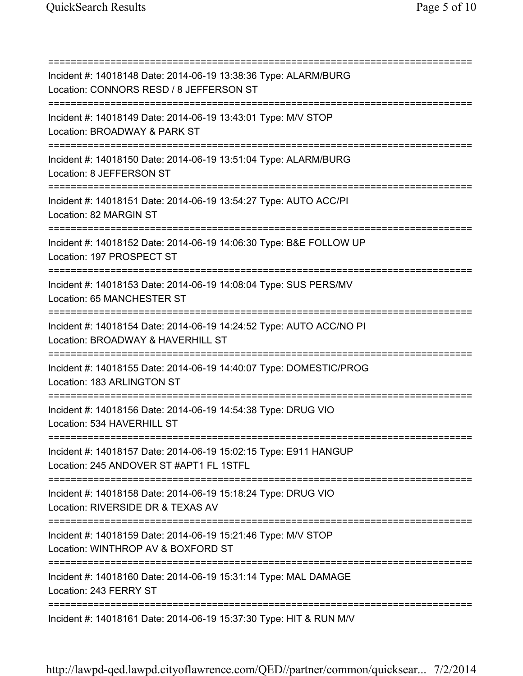=========================================================================== Incident #: 14018148 Date: 2014-06-19 13:38:36 Type: ALARM/BURG Location: CONNORS RESD / 8 JEFFERSON ST =========================================================================== Incident #: 14018149 Date: 2014-06-19 13:43:01 Type: M/V STOP Location: BROADWAY & PARK ST =========================================================================== Incident #: 14018150 Date: 2014-06-19 13:51:04 Type: ALARM/BURG Location: 8 JEFFERSON ST =========================================================================== Incident #: 14018151 Date: 2014-06-19 13:54:27 Type: AUTO ACC/PI Location: 82 MARGIN ST =========================================================================== Incident #: 14018152 Date: 2014-06-19 14:06:30 Type: B&E FOLLOW UP Location: 197 PROSPECT ST =========================================================================== Incident #: 14018153 Date: 2014-06-19 14:08:04 Type: SUS PERS/MV Location: 65 MANCHESTER ST =========================================================================== Incident #: 14018154 Date: 2014-06-19 14:24:52 Type: AUTO ACC/NO PI Location: BROADWAY & HAVERHILL ST =========================================================================== Incident #: 14018155 Date: 2014-06-19 14:40:07 Type: DOMESTIC/PROG Location: 183 ARLINGTON ST =========================================================================== Incident #: 14018156 Date: 2014-06-19 14:54:38 Type: DRUG VIO Location: 534 HAVERHILL ST =========================================================================== Incident #: 14018157 Date: 2014-06-19 15:02:15 Type: E911 HANGUP Location: 245 ANDOVER ST #APT1 FL 1STFL =========================================================================== Incident #: 14018158 Date: 2014-06-19 15:18:24 Type: DRUG VIO Location: RIVERSIDE DR & TEXAS AV =========================================================================== Incident #: 14018159 Date: 2014-06-19 15:21:46 Type: M/V STOP Location: WINTHROP AV & BOXFORD ST =========================================================================== Incident #: 14018160 Date: 2014-06-19 15:31:14 Type: MAL DAMAGE Location: 243 FERRY ST =========================================================================== Incident #: 14018161 Date: 2014-06-19 15:37:30 Type: HIT & RUN M/V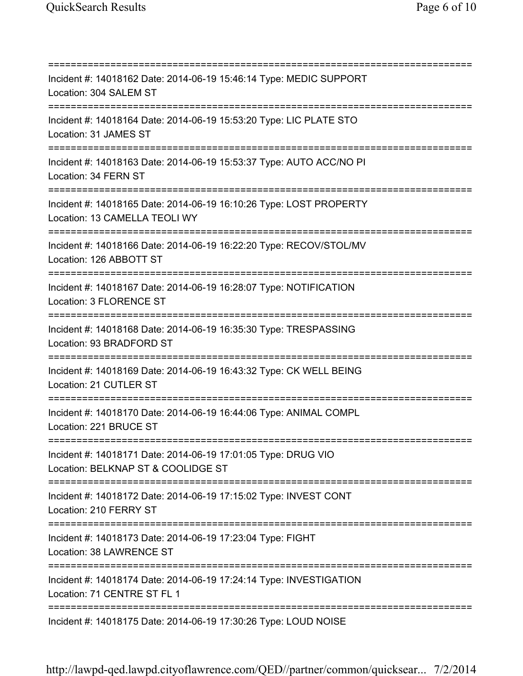=========================================================================== Incident #: 14018162 Date: 2014-06-19 15:46:14 Type: MEDIC SUPPORT Location: 304 SALEM ST =========================================================================== Incident #: 14018164 Date: 2014-06-19 15:53:20 Type: LIC PLATE STO Location: 31 JAMES ST =========================================================================== Incident #: 14018163 Date: 2014-06-19 15:53:37 Type: AUTO ACC/NO PI Location: 34 FERN ST =========================================================================== Incident #: 14018165 Date: 2014-06-19 16:10:26 Type: LOST PROPERTY Location: 13 CAMELLA TEOLI WY =========================================================================== Incident #: 14018166 Date: 2014-06-19 16:22:20 Type: RECOV/STOL/MV Location: 126 ABBOTT ST =========================================================================== Incident #: 14018167 Date: 2014-06-19 16:28:07 Type: NOTIFICATION Location: 3 FLORENCE ST =========================================================================== Incident #: 14018168 Date: 2014-06-19 16:35:30 Type: TRESPASSING Location: 93 BRADFORD ST =========================================================================== Incident #: 14018169 Date: 2014-06-19 16:43:32 Type: CK WELL BEING Location: 21 CUTLER ST =========================================================================== Incident #: 14018170 Date: 2014-06-19 16:44:06 Type: ANIMAL COMPL Location: 221 BRUCE ST =========================================================================== Incident #: 14018171 Date: 2014-06-19 17:01:05 Type: DRUG VIO Location: BELKNAP ST & COOLIDGE ST =========================================================================== Incident #: 14018172 Date: 2014-06-19 17:15:02 Type: INVEST CONT Location: 210 FERRY ST =========================================================================== Incident #: 14018173 Date: 2014-06-19 17:23:04 Type: FIGHT Location: 38 LAWRENCE ST =========================================================================== Incident #: 14018174 Date: 2014-06-19 17:24:14 Type: INVESTIGATION Location: 71 CENTRE ST FL 1 =========================================================================== Incident #: 14018175 Date: 2014-06-19 17:30:26 Type: LOUD NOISE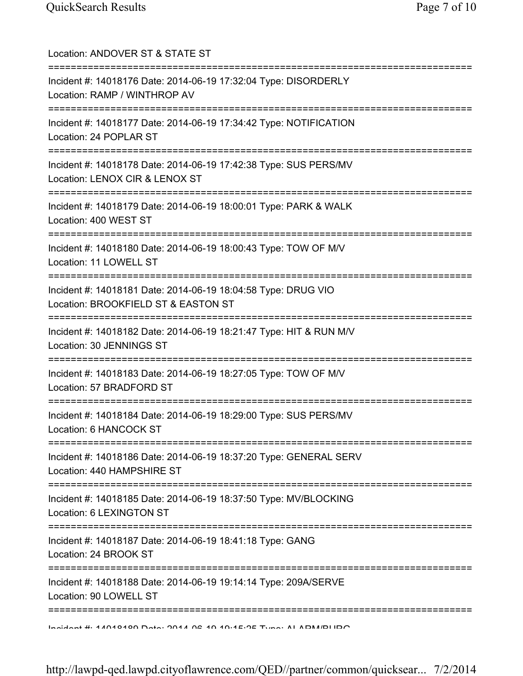| Location: ANDOVER ST & STATE ST<br>=========================                                                                        |
|-------------------------------------------------------------------------------------------------------------------------------------|
| Incident #: 14018176 Date: 2014-06-19 17:32:04 Type: DISORDERLY<br>Location: RAMP / WINTHROP AV<br>========================         |
| Incident #: 14018177 Date: 2014-06-19 17:34:42 Type: NOTIFICATION<br>Location: 24 POPLAR ST                                         |
| Incident #: 14018178 Date: 2014-06-19 17:42:38 Type: SUS PERS/MV<br>Location: LENOX CIR & LENOX ST                                  |
| Incident #: 14018179 Date: 2014-06-19 18:00:01 Type: PARK & WALK<br>Location: 400 WEST ST                                           |
| Incident #: 14018180 Date: 2014-06-19 18:00:43 Type: TOW OF M/V<br>Location: 11 LOWELL ST                                           |
| Incident #: 14018181 Date: 2014-06-19 18:04:58 Type: DRUG VIO<br>Location: BROOKFIELD ST & EASTON ST                                |
| Incident #: 14018182 Date: 2014-06-19 18:21:47 Type: HIT & RUN M/V<br>Location: 30 JENNINGS ST<br>================================= |
| Incident #: 14018183 Date: 2014-06-19 18:27:05 Type: TOW OF M/V<br>Location: 57 BRADFORD ST                                         |
| Incident #: 14018184 Date: 2014-06-19 18:29:00 Type: SUS PERS/MV<br>Location: 6 HANCOCK ST                                          |
| Incident #: 14018186 Date: 2014-06-19 18:37:20 Type: GENERAL SERV<br>Location: 440 HAMPSHIRE ST                                     |
| Incident #: 14018185 Date: 2014-06-19 18:37:50 Type: MV/BLOCKING<br>Location: 6 LEXINGTON ST                                        |
| Incident #: 14018187 Date: 2014-06-19 18:41:18 Type: GANG<br>Location: 24 BROOK ST                                                  |
| Incident #: 14018188 Date: 2014-06-19 19:14:14 Type: 209A/SERVE<br>Location: 90 LOWELL ST                                           |
| <u>Indident #: 47040400 Data: 2047 00: 40:40:45:25 Tunn: ALADM/DLIDO</u>                                                            |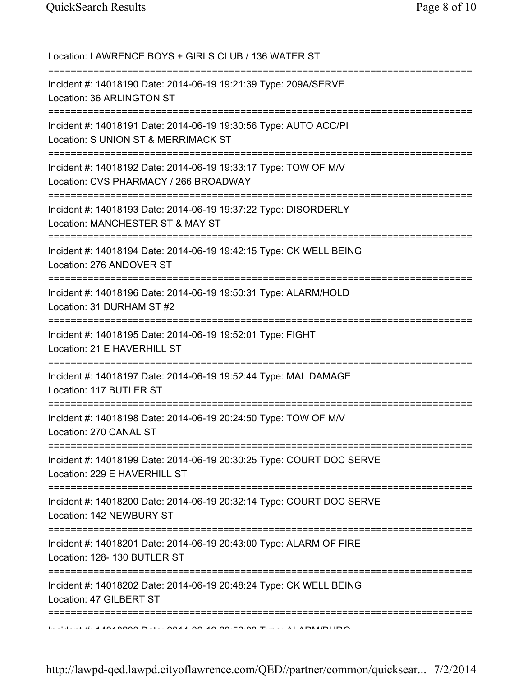Location: LAWRENCE BOYS + GIRLS CLUB / 136 WATER ST =========================================================================== Incident #: 14018190 Date: 2014-06-19 19:21:39 Type: 209A/SERVE Location: 36 ARLINGTON ST =========================================================================== Incident #: 14018191 Date: 2014-06-19 19:30:56 Type: AUTO ACC/PI Location: S UNION ST & MERRIMACK ST =========================================================================== Incident #: 14018192 Date: 2014-06-19 19:33:17 Type: TOW OF M/V Location: CVS PHARMACY / 266 BROADWAY =========================================================================== Incident #: 14018193 Date: 2014-06-19 19:37:22 Type: DISORDERLY Location: MANCHESTER ST & MAY ST =========================================================================== Incident #: 14018194 Date: 2014-06-19 19:42:15 Type: CK WELL BEING Location: 276 ANDOVER ST =========================================================================== Incident #: 14018196 Date: 2014-06-19 19:50:31 Type: ALARM/HOLD Location: 31 DURHAM ST #2 =========================================================================== Incident #: 14018195 Date: 2014-06-19 19:52:01 Type: FIGHT Location: 21 E HAVERHILL ST =========================================================================== Incident #: 14018197 Date: 2014-06-19 19:52:44 Type: MAL DAMAGE Location: 117 BUTLER ST =========================================================================== Incident #: 14018198 Date: 2014-06-19 20:24:50 Type: TOW OF M/V Location: 270 CANAL ST =========================================================================== Incident #: 14018199 Date: 2014-06-19 20:30:25 Type: COURT DOC SERVE Location: 229 E HAVERHILL ST =========================================================================== Incident #: 14018200 Date: 2014-06-19 20:32:14 Type: COURT DOC SERVE Location: 142 NEWBURY ST =========================================================================== Incident #: 14018201 Date: 2014-06-19 20:43:00 Type: ALARM OF FIRE Location: 128- 130 BUTLER ST =========================================================================== Incident #: 14018202 Date: 2014-06-19 20:48:24 Type: CK WELL BEING Location: 47 GILBERT ST =========================================================================== Incident #: 14018203 Date: 2014 06 19 20:52:33 Type: ALARM/BURG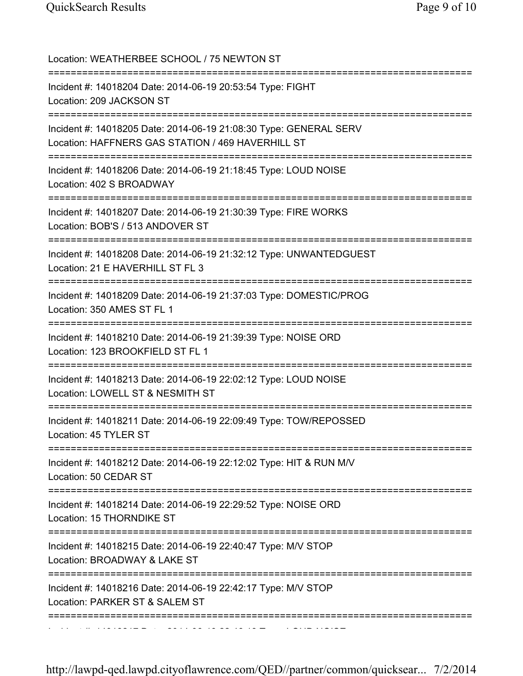| Location: WEATHERBEE SCHOOL / 75 NEWTON ST                                                                                           |
|--------------------------------------------------------------------------------------------------------------------------------------|
| Incident #: 14018204 Date: 2014-06-19 20:53:54 Type: FIGHT<br>Location: 209 JACKSON ST                                               |
| Incident #: 14018205 Date: 2014-06-19 21:08:30 Type: GENERAL SERV<br>Location: HAFFNERS GAS STATION / 469 HAVERHILL ST               |
| Incident #: 14018206 Date: 2014-06-19 21:18:45 Type: LOUD NOISE<br>Location: 402 S BROADWAY<br>;==================================== |
| Incident #: 14018207 Date: 2014-06-19 21:30:39 Type: FIRE WORKS<br>Location: BOB'S / 513 ANDOVER ST<br>=========================     |
| Incident #: 14018208 Date: 2014-06-19 21:32:12 Type: UNWANTEDGUEST<br>Location: 21 E HAVERHILL ST FL 3                               |
| Incident #: 14018209 Date: 2014-06-19 21:37:03 Type: DOMESTIC/PROG<br>Location: 350 AMES ST FL 1                                     |
| Incident #: 14018210 Date: 2014-06-19 21:39:39 Type: NOISE ORD<br>Location: 123 BROOKFIELD ST FL 1                                   |
| Incident #: 14018213 Date: 2014-06-19 22:02:12 Type: LOUD NOISE<br>Location: LOWELL ST & NESMITH ST                                  |
| Incident #: 14018211 Date: 2014-06-19 22:09:49 Type: TOW/REPOSSED<br>Location: 45 TYLER ST                                           |
| Incident #: 14018212 Date: 2014-06-19 22:12:02 Type: HIT & RUN M/V<br>Location: 50 CEDAR ST                                          |
| Incident #: 14018214 Date: 2014-06-19 22:29:52 Type: NOISE ORD<br>Location: 15 THORNDIKE ST                                          |
| Incident #: 14018215 Date: 2014-06-19 22:40:47 Type: M/V STOP<br>Location: BROADWAY & LAKE ST                                        |
| Incident #: 14018216 Date: 2014-06-19 22:42:17 Type: M/V STOP<br>Location: PARKER ST & SALEM ST                                      |
|                                                                                                                                      |